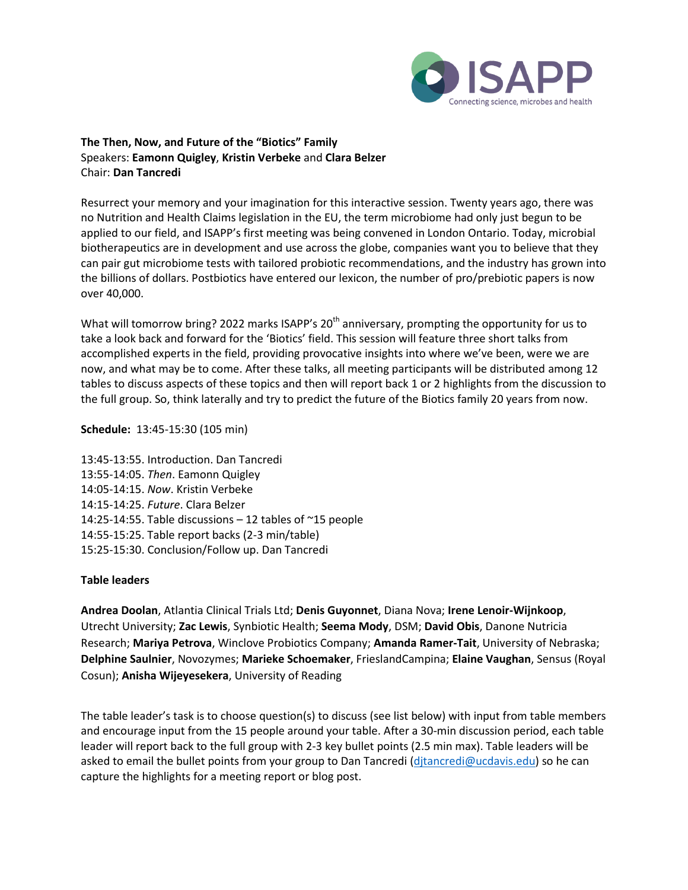

# **The Then, Now, and Future of the "Biotics" Family** Speakers: **Eamonn Quigley**, **Kristin Verbeke** and **Clara Belzer** Chair: **Dan Tancredi**

Resurrect your memory and your imagination for this interactive session. Twenty years ago, there was no Nutrition and Health Claims legislation in the EU, the term microbiome had only just begun to be applied to our field, and ISAPP's first meeting was being convened in London Ontario. Today, microbial biotherapeutics are in development and use across the globe, companies want you to believe that they can pair gut microbiome tests with tailored probiotic recommendations, and the industry has grown into the billions of dollars. Postbiotics have entered our lexicon, the number of pro/prebiotic papers is now over 40,000.

What will tomorrow bring? 2022 marks ISAPP's 20<sup>th</sup> anniversary, prompting the opportunity for us to take a look back and forward for the 'Biotics' field. This session will feature three short talks from accomplished experts in the field, providing provocative insights into where we've been, were we are now, and what may be to come. After these talks, all meeting participants will be distributed among 12 tables to discuss aspects of these topics and then will report back 1 or 2 highlights from the discussion to the full group. So, think laterally and try to predict the future of the Biotics family 20 years from now.

#### **Schedule:** 13:45-15:30 (105 min)

13:45-13:55. Introduction. Dan Tancredi 13:55-14:05. *Then*. Eamonn Quigley 14:05-14:15. *Now*. Kristin Verbeke 14:15-14:25. *Future*. Clara Belzer 14:25-14:55. Table discussions – 12 tables of ~15 people 14:55-15:25. Table report backs (2-3 min/table) 15:25-15:30. Conclusion/Follow up. Dan Tancredi

#### **Table leaders**

**Andrea Doolan**, Atlantia Clinical Trials Ltd; **Denis Guyonnet**, Diana Nova; **Irene Lenoir-Wijnkoop**, Utrecht University; **Zac Lewis**, Synbiotic Health; **Seema Mody**, DSM; **David Obis**, Danone Nutricia Research; **Mariya Petrova**, Winclove Probiotics Company; **Amanda Ramer-Tait**, University of Nebraska; **Delphine Saulnier**, Novozymes; **Marieke Schoemaker**, FrieslandCampina; **Elaine Vaughan**, Sensus (Royal Cosun); **Anisha Wijeyesekera**, University of Reading

The table leader's task is to choose question(s) to discuss (see list below) with input from table members and encourage input from the 15 people around your table. After a 30-min discussion period, each table leader will report back to the full group with 2-3 key bullet points (2.5 min max). Table leaders will be asked to email the bullet points from your group to Dan Tancredi [\(djtancredi@ucdavis.edu\)](mailto:djtancredi@ucdavis.edu) so he can capture the highlights for a meeting report or blog post.